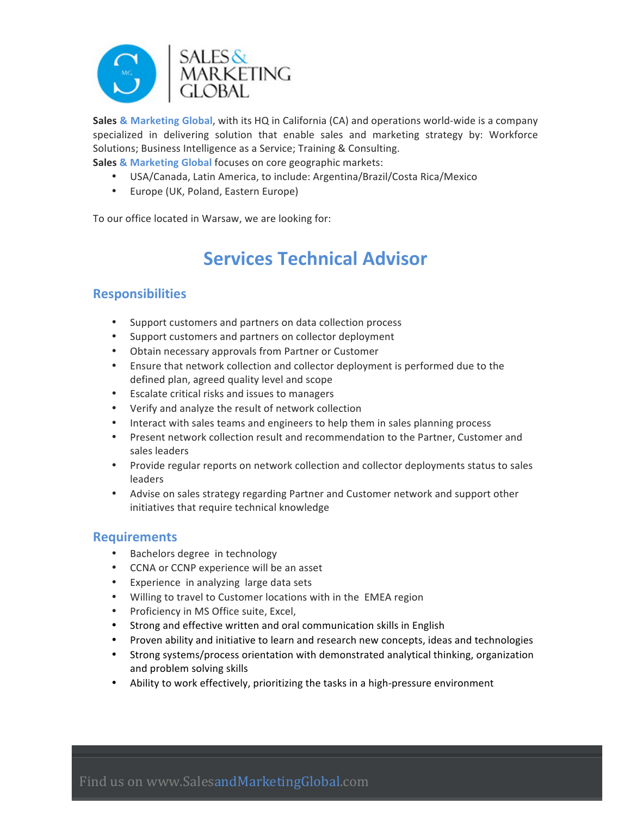

**Sales & Marketing Global, with its HQ in California (CA) and operations world-wide is a company** specialized in delivering solution that enable sales and marketing strategy by: Workforce Solutions; Business Intelligence as a Service; Training & Consulting.

**Sales & Marketing Global** focuses on core geographic markets:

- USA/Canada, Latin America, to include: Argentina/Brazil/Costa Rica/Mexico
- Europe (UK, Poland, Eastern Europe)

To our office located in Warsaw, we are looking for:

## **Services Technical Advisor**

## **Responsibilities**

- Support customers and partners on data collection process
- Support customers and partners on collector deployment
- Obtain necessary approvals from Partner or Customer
- Ensure that network collection and collector deployment is performed due to the defined plan, agreed quality level and scope
- Escalate critical risks and issues to managers
- Verify and analyze the result of network collection
- Interact with sales teams and engineers to help them in sales planning process
- Present network collection result and recommendation to the Partner, Customer and sales leaders
- Provide regular reports on network collection and collector deployments status to sales leaders
- Advise on sales strategy regarding Partner and Customer network and support other initiatives that require technical knowledge

## **Requirements**

- Bachelors degree in technology
- CCNA or CCNP experience will be an asset
- Experience in analyzing large data sets
- Willing to travel to Customer locations with in the EMEA region
- Proficiency in MS Office suite, Excel,
- Strong and effective written and oral communication skills in English
- Proven ability and initiative to learn and research new concepts, ideas and technologies
- Strong systems/process orientation with demonstrated analytical thinking, organization and problem solving skills
- Ability to work effectively, prioritizing the tasks in a high-pressure environment